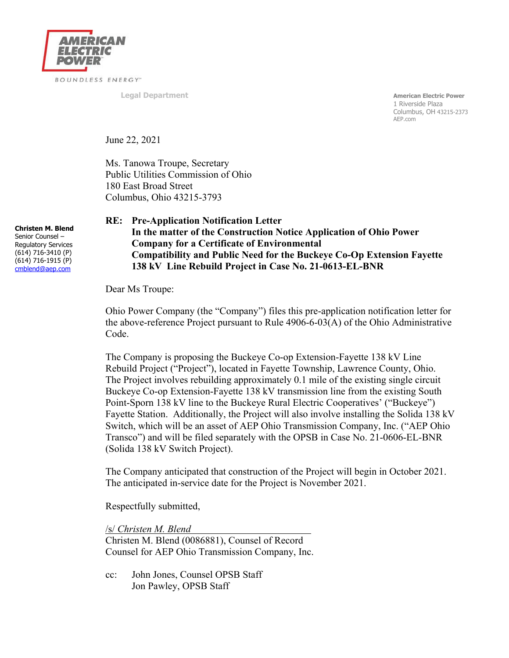

**Legal Department American Electric Power** 1 Riverside Plaza Columbus, OH 43215-2373 AEP.com

June 22, 2021

Ms. Tanowa Troupe, Secretary Public Utilities Commission of Ohio 180 East Broad Street Columbus, Ohio 43215-3793

**Christen M. Blend**  Senior Counsel – Regulatory Services (614) 716-3410 (P) (614) 716-1915 (P) cmblend@aep.com

## **RE: Pre-Application Notification Letter In the matter of the Construction Notice Application of Ohio Power Company for a Certificate of Environmental Compatibility and Public Need for the Buckeye Co-Op Extension Fayette 138 kV Line Rebuild Project in Case No. 21-0613-EL-BNR**

Dear Ms Troupe:

Ohio Power Company (the "Company") files this pre-application notification letter for the above-reference Project pursuant to Rule 4906-6-03(A) of the Ohio Administrative Code.

The Company is proposing the Buckeye Co-op Extension-Fayette 138 kV Line Rebuild Project ("Project"), located in Fayette Township, Lawrence County, Ohio. The Project involves rebuilding approximately 0.1 mile of the existing single circuit Buckeye Co-op Extension-Fayette 138 kV transmission line from the existing South Point-Sporn 138 kV line to the Buckeye Rural Electric Cooperatives' ("Buckeye") Fayette Station. Additionally, the Project will also involve installing the Solida 138 kV Switch, which will be an asset of AEP Ohio Transmission Company, Inc. ("AEP Ohio Transco") and will be filed separately with the OPSB in Case No. 21-0606-EL-BNR (Solida 138 kV Switch Project).

The Company anticipated that construction of the Project will begin in October 2021. The anticipated in-service date for the Project is November 2021.

Respectfully submitted,

/s/ *Christen M. Blend*

Christen M. Blend (0086881), Counsel of Record Counsel for AEP Ohio Transmission Company, Inc.

cc: John Jones, Counsel OPSB Staff Jon Pawley, OPSB Staff